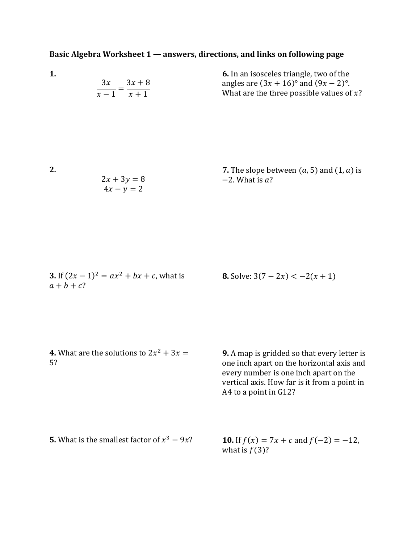## **Basic Algebra Worksheet 1 — answers, directions, and links on following page**

|             | <b>6.</b> In an isosceles triangle, two of the |
|-------------|------------------------------------------------|
| $3x$ $3x+8$ | angles are $(3x + 16)$ ° and $(9x - 2)$ °.     |
| $x-1$ $x+1$ | What are the three possible values of $x$ ?    |

**2.** 

**1.**

7. The slope between 
$$
(a, 5)
$$
 and  $(1, a)$  is  
\n $4x - y = 2$   
\n2. What is a?

| <b>3.</b> If $(2x - 1)^2 = ax^2 + bx + c$ , what is |  |  |
|-----------------------------------------------------|--|--|
| $a+b+c$ ?                                           |  |  |

**8.** Solve:  $3(7 - 2x) < -2(x + 1)$ 

**4.** What are the solutions to  $2x^2 + 3x =$ 5?

**9.** A map is gridded so that every letter is one inch apart on the horizontal axis and every number is one inch apart on the vertical axis. How far is it from a point in A4 to a point in G12?

**5.** What is the smallest factor of  $x^3 - 9x$ ?

**10.** If  $f(x) = 7x + c$  and  $f(-2) = -12$ , what is  $f(3)$ ?